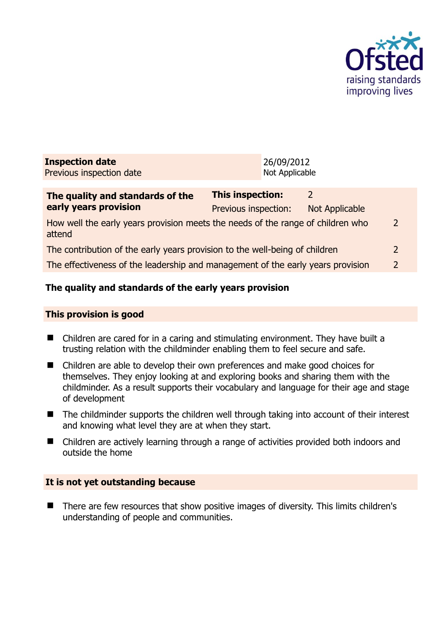

| <b>Inspection date</b>           | 26/09/2012       |
|----------------------------------|------------------|
| Previous inspection date         | Not Applicable   |
|                                  |                  |
| The quality and standards of the | Thic incnection: |

| The quality and standards of the                                                          | <b>This inspection:</b> |                |                |
|-------------------------------------------------------------------------------------------|-------------------------|----------------|----------------|
| early years provision                                                                     | Previous inspection:    | Not Applicable |                |
| How well the early years provision meets the needs of the range of children who<br>attend |                         |                | 2              |
| The contribution of the early years provision to the well-being of children               |                         |                | $\overline{2}$ |
| The effectiveness of the leadership and management of the early years provision           |                         |                | 2              |

# **The quality and standards of the early years provision**

## **This provision is good**

- Children are cared for in a caring and stimulating environment. They have built a trusting relation with the childminder enabling them to feel secure and safe.
- Children are able to develop their own preferences and make good choices for themselves. They enjoy looking at and exploring books and sharing them with the childminder. As a result supports their vocabulary and language for their age and stage of development
- The childminder supports the children well through taking into account of their interest and knowing what level they are at when they start.
- Children are actively learning through a range of activities provided both indoors and outside the home

# **It is not yet outstanding because**

■ There are few resources that show positive images of diversity. This limits children's understanding of people and communities.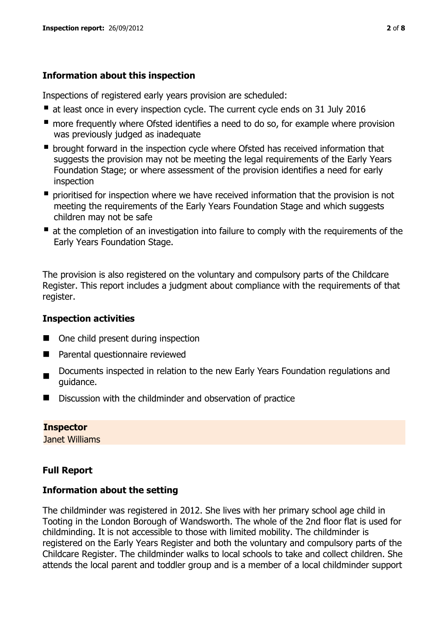# **Information about this inspection**

Inspections of registered early years provision are scheduled:

- at least once in every inspection cycle. The current cycle ends on 31 July 2016
- **n** more frequently where Ofsted identifies a need to do so, for example where provision was previously judged as inadequate
- **•** brought forward in the inspection cycle where Ofsted has received information that suggests the provision may not be meeting the legal requirements of the Early Years Foundation Stage; or where assessment of the provision identifies a need for early inspection
- **P** prioritised for inspection where we have received information that the provision is not meeting the requirements of the Early Years Foundation Stage and which suggests children may not be safe
- at the completion of an investigation into failure to comply with the requirements of the Early Years Foundation Stage.

The provision is also registered on the voluntary and compulsory parts of the Childcare Register. This report includes a judgment about compliance with the requirements of that register.

# **Inspection activities**

- One child present during inspection
- Parental questionnaire reviewed
- Documents inspected in relation to the new Early Years Foundation regulations and guidance.
- Discussion with the childminder and observation of practice

# **Inspector**

Janet Williams

# **Full Report**

# **Information about the setting**

The childminder was registered in 2012. She lives with her primary school age child in Tooting in the London Borough of Wandsworth. The whole of the 2nd floor flat is used for childminding. It is not accessible to those with limited mobility. The childminder is registered on the Early Years Register and both the voluntary and compulsory parts of the Childcare Register. The childminder walks to local schools to take and collect children. She attends the local parent and toddler group and is a member of a local childminder support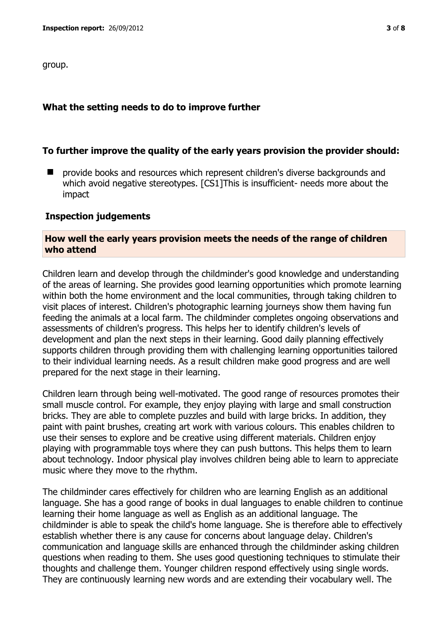group.

#### **What the setting needs to do to improve further**

## **To further improve the quality of the early years provision the provider should:**

**P** provide books and resources which represent children's diverse backgrounds and which avoid negative stereotypes. [CS1]This is insufficient- needs more about the impact

#### **Inspection judgements**

#### **How well the early years provision meets the needs of the range of children who attend**

Children learn and develop through the childminder's good knowledge and understanding of the areas of learning. She provides good learning opportunities which promote learning within both the home environment and the local communities, through taking children to visit places of interest. Children's photographic learning journeys show them having fun feeding the animals at a local farm. The childminder completes ongoing observations and assessments of children's progress. This helps her to identify children's levels of development and plan the next steps in their learning. Good daily planning effectively supports children through providing them with challenging learning opportunities tailored to their individual learning needs. As a result children make good progress and are well prepared for the next stage in their learning.

Children learn through being well-motivated. The good range of resources promotes their small muscle control. For example, they enjoy playing with large and small construction bricks. They are able to complete puzzles and build with large bricks. In addition, they paint with paint brushes, creating art work with various colours. This enables children to use their senses to explore and be creative using different materials. Children enjoy playing with programmable toys where they can push buttons. This helps them to learn about technology. Indoor physical play involves children being able to learn to appreciate music where they move to the rhythm.

The childminder cares effectively for children who are learning English as an additional language. She has a good range of books in dual languages to enable children to continue learning their home language as well as English as an additional language. The childminder is able to speak the child's home language. She is therefore able to effectively establish whether there is any cause for concerns about language delay. Children's communication and language skills are enhanced through the childminder asking children questions when reading to them. She uses good questioning techniques to stimulate their thoughts and challenge them. Younger children respond effectively using single words. They are continuously learning new words and are extending their vocabulary well. The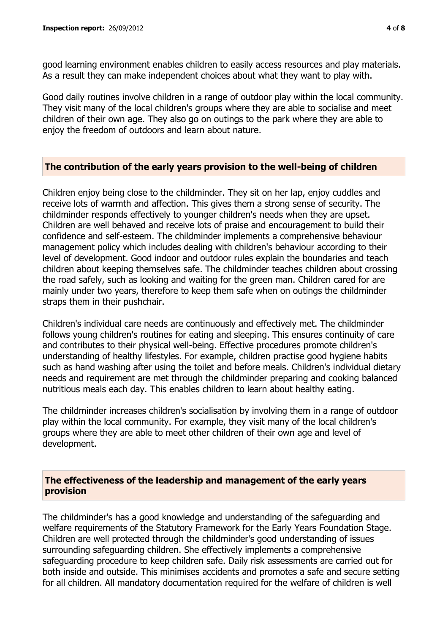good learning environment enables children to easily access resources and play materials. As a result they can make independent choices about what they want to play with.

Good daily routines involve children in a range of outdoor play within the local community. They visit many of the local children's groups where they are able to socialise and meet children of their own age. They also go on outings to the park where they are able to enjoy the freedom of outdoors and learn about nature.

## **The contribution of the early years provision to the well-being of children**

Children enjoy being close to the childminder. They sit on her lap, enjoy cuddles and receive lots of warmth and affection. This gives them a strong sense of security. The childminder responds effectively to younger children's needs when they are upset. Children are well behaved and receive lots of praise and encouragement to build their confidence and self-esteem. The childminder implements a comprehensive behaviour management policy which includes dealing with children's behaviour according to their level of development. Good indoor and outdoor rules explain the boundaries and teach children about keeping themselves safe. The childminder teaches children about crossing the road safely, such as looking and waiting for the green man. Children cared for are mainly under two years, therefore to keep them safe when on outings the childminder straps them in their pushchair.

Children's individual care needs are continuously and effectively met. The childminder follows young children's routines for eating and sleeping. This ensures continuity of care and contributes to their physical well-being. Effective procedures promote children's understanding of healthy lifestyles. For example, children practise good hygiene habits such as hand washing after using the toilet and before meals. Children's individual dietary needs and requirement are met through the childminder preparing and cooking balanced nutritious meals each day. This enables children to learn about healthy eating.

The childminder increases children's socialisation by involving them in a range of outdoor play within the local community. For example, they visit many of the local children's groups where they are able to meet other children of their own age and level of development.

## **The effectiveness of the leadership and management of the early years provision**

The childminder's has a good knowledge and understanding of the safeguarding and welfare requirements of the Statutory Framework for the Early Years Foundation Stage. Children are well protected through the childminder's good understanding of issues surrounding safeguarding children. She effectively implements a comprehensive safeguarding procedure to keep children safe. Daily risk assessments are carried out for both inside and outside. This minimises accidents and promotes a safe and secure setting for all children. All mandatory documentation required for the welfare of children is well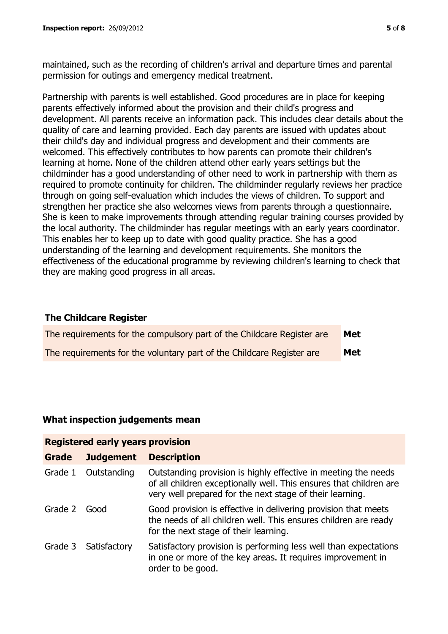maintained, such as the recording of children's arrival and departure times and parental permission for outings and emergency medical treatment.

Partnership with parents is well established. Good procedures are in place for keeping parents effectively informed about the provision and their child's progress and development. All parents receive an information pack. This includes clear details about the quality of care and learning provided. Each day parents are issued with updates about their child's day and individual progress and development and their comments are welcomed. This effectively contributes to how parents can promote their children's learning at home. None of the children attend other early years settings but the childminder has a good understanding of other need to work in partnership with them as required to promote continuity for children. The childminder regularly reviews her practice through on going self-evaluation which includes the views of children. To support and strengthen her practice she also welcomes views from parents through a questionnaire. She is keen to make improvements through attending regular training courses provided by the local authority. The childminder has regular meetings with an early years coordinator. This enables her to keep up to date with good quality practice. She has a good understanding of the learning and development requirements. She monitors the effectiveness of the educational programme by reviewing children's learning to check that they are making good progress in all areas.

## **The Childcare Register**

| The requirements for the compulsory part of the Childcare Register are | <b>Met</b> |
|------------------------------------------------------------------------|------------|
| The requirements for the voluntary part of the Childcare Register are  | Met        |

## **What inspection judgements mean**

| <b>Registered early years provision</b> |                      |                                                                                                                                                                                                  |  |
|-----------------------------------------|----------------------|--------------------------------------------------------------------------------------------------------------------------------------------------------------------------------------------------|--|
| <b>Grade</b>                            | <b>Judgement</b>     | <b>Description</b>                                                                                                                                                                               |  |
| Grade 1                                 | Outstanding          | Outstanding provision is highly effective in meeting the needs<br>of all children exceptionally well. This ensures that children are<br>very well prepared for the next stage of their learning. |  |
| Grade 2                                 | Good                 | Good provision is effective in delivering provision that meets<br>the needs of all children well. This ensures children are ready<br>for the next stage of their learning.                       |  |
|                                         | Grade 3 Satisfactory | Satisfactory provision is performing less well than expectations<br>in one or more of the key areas. It requires improvement in<br>order to be good.                                             |  |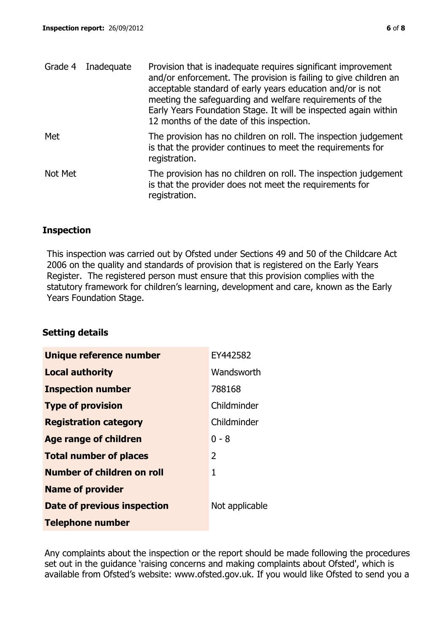|         | Grade 4 Inadequate | Provision that is inadequate requires significant improvement<br>and/or enforcement. The provision is failing to give children an<br>acceptable standard of early years education and/or is not<br>meeting the safeguarding and welfare requirements of the<br>Early Years Foundation Stage. It will be inspected again within<br>12 months of the date of this inspection. |
|---------|--------------------|-----------------------------------------------------------------------------------------------------------------------------------------------------------------------------------------------------------------------------------------------------------------------------------------------------------------------------------------------------------------------------|
| Met     |                    | The provision has no children on roll. The inspection judgement<br>is that the provider continues to meet the requirements for<br>registration.                                                                                                                                                                                                                             |
| Not Met |                    | The provision has no children on roll. The inspection judgement<br>is that the provider does not meet the requirements for<br>registration.                                                                                                                                                                                                                                 |

## **Inspection**

This inspection was carried out by Ofsted under Sections 49 and 50 of the Childcare Act 2006 on the quality and standards of provision that is registered on the Early Years Register. The registered person must ensure that this provision complies with the statutory framework for children's learning, development and care, known as the Early Years Foundation Stage.

# **Setting details**

| Unique reference number       | EY442582       |
|-------------------------------|----------------|
| <b>Local authority</b>        | Wandsworth     |
| <b>Inspection number</b>      | 788168         |
| <b>Type of provision</b>      | Childminder    |
| <b>Registration category</b>  | Childminder    |
| <b>Age range of children</b>  | 0 - 8          |
| <b>Total number of places</b> | $\mathcal{P}$  |
| Number of children on roll    | 1              |
| <b>Name of provider</b>       |                |
| Date of previous inspection   | Not applicable |
| <b>Telephone number</b>       |                |

Any complaints about the inspection or the report should be made following the procedures set out in the guidance 'raising concerns and making complaints about Ofsted', which is available from Ofsted's website: www.ofsted.gov.uk. If you would like Ofsted to send you a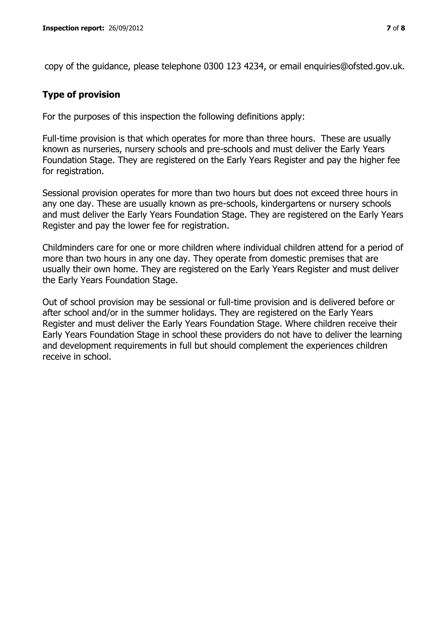copy of the guidance, please telephone 0300 123 4234, or email enquiries@ofsted.gov.uk.

## **Type of provision**

For the purposes of this inspection the following definitions apply:

Full-time provision is that which operates for more than three hours. These are usually known as nurseries, nursery schools and pre-schools and must deliver the Early Years Foundation Stage. They are registered on the Early Years Register and pay the higher fee for registration.

Sessional provision operates for more than two hours but does not exceed three hours in any one day. These are usually known as pre-schools, kindergartens or nursery schools and must deliver the Early Years Foundation Stage. They are registered on the Early Years Register and pay the lower fee for registration.

Childminders care for one or more children where individual children attend for a period of more than two hours in any one day. They operate from domestic premises that are usually their own home. They are registered on the Early Years Register and must deliver the Early Years Foundation Stage.

Out of school provision may be sessional or full-time provision and is delivered before or after school and/or in the summer holidays. They are registered on the Early Years Register and must deliver the Early Years Foundation Stage. Where children receive their Early Years Foundation Stage in school these providers do not have to deliver the learning and development requirements in full but should complement the experiences children receive in school.